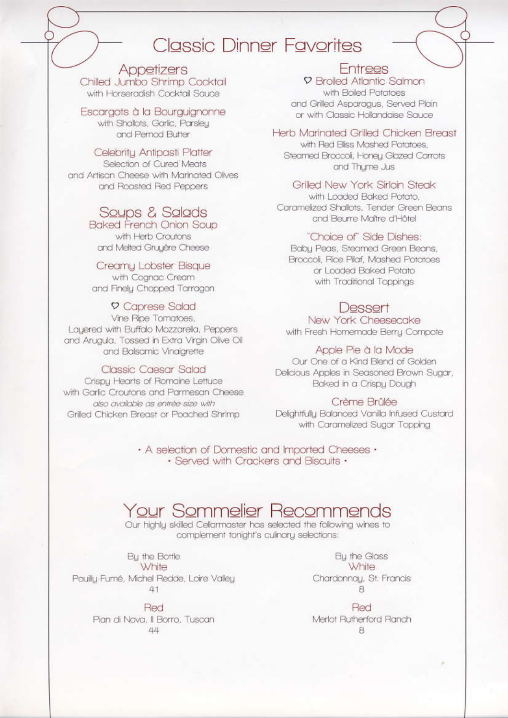## **Classic Dinner Favorites**

Appetizers Chilled Jumbo Shrimp Cocktail with Horseradish Cocktail Sauce

Escaraots à la Bourauianonne

with Shallots, Garlic, Parsley and Pernod Butter

#### Celebrity Antipasti Platter

Selection of Cured Meats and Artisan Cheese with Marinated Olives and Roasted Red Peppers

## Soups & Salads

**Baked French Onion Soup** with Herb Croutons and Melted Gruyère Cheese

#### Creamy Lobster Bisque

with Cognac Cream and Finely Chopped Tarragon

#### **V** Caprese Salad

Vine Ripe Tomatoes, Layered with Buffalo Mozzarella, Peppers and Arugula, Tossed in Extra Virgin Olive Oil and Balsamic Vinaigrette

#### Classic Caesar Salad

Crispu Hearts of Romaine Lettuce with Garlic Croutons and Parmesan Cheese also available as entrée size with Grilled Chicken Breast or Poached Shrimp

#### **Entrees**

**2** Broiled Atlantic Salmon with Boiled Potatoes and Grilled Asparagus, Served Plain or with Classic Hollandaise Sauce

### Herb Marinated Grilled Chicken Breast

with Red Bliss Mashed Potatoes. Steamed Broccoli, Honey Glazed Carrots and Thume Jus

## Grilled New York Sirloin Steak

with Loaded Baked Potato. Caramelized Shallots, Tender Green Beans and Beurre Maître d'Hôtel

#### "Choice of" Side Dishes:

Babu Peas, Steamed Green Beans, Broccoli, Rice Pilaf, Mashed Potatoes or Loaded Baked Potato with Traditional Toppings

## Dessert

New York Cheesecake with Fresh Homemade Berry Compote

#### Apple Pie à la Mode

Our One of a Kind Blend of Golden Delicious Apples in Seasoned Brown Sugar, Baked in a Crispy Dough

#### Crème Brûlée

Delightfully Balanced Vanilla Infused Custard with Caramelized Sugar Topping

• A selection of Domestic and Imported Cheeses • · Served with Crackers and Biscuits ·

## <u>Your Sommelier Recommends</u>

Our highly skilled Cellarmaster has selected the following wines to complement tonight's culinary selections:

By the Bottle White Pouilly-Fumé, Michel Redde, Loire Valley 41

> Red Pian di Nova, Il Borro, Tuscan 44

Bu the Glass White Chardonnay, St. Francis 8

Red Merlot Rutherford Ranch 8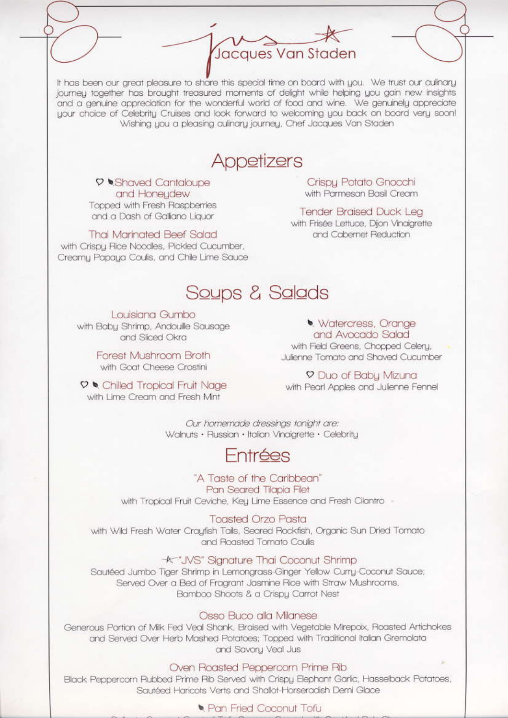# Jacques Van Staden

It has been our great pleasure to share this special time on board with you. We trust our culinary journeu together has brought treasured moments of delight while helping you gain new insights and a genuine appreciation for the wonderful world of food and wine. We genuinely appreciate your choice of Celebrity Cruises and look forward to welcoming you back on board very soon! Wishing you a pleasing culinary journey, Chef Jacques Van Staden

# Appetizers

#### ♡ Shaved Cantaloupe and Honeudew Topped with Fresh Raspberries and a Dash of Galliano Liquor

**Thai Marinated Beef Salad** 

with Crispy Rice Noodles, Pickled Cucumber, Creamy Papaya Coulis, and Chile Lime Sauce

Crispu Potato Gnocchi with Parmesan Basil Cream

**Tender Braised Duck Lea** with Frisée Lettuce, Dijon Vinaigrette and Cabernet Reduction

# Soups & Salads

Louisiana Gumbo

with Baby Shrimp, Andouille Sausage and Sliced Okra

> Forest Mushroom Broth with Goat Cheese Crostini

♡ Chilled Tropical Fruit Nage with Lime Cream and Fresh Mint

· Watercress, Orange and Avocado Salad with Field Greens, Chopped Celery, Julienne Tomato and Shaved Cucumber

**9 Duo of Babu Mizuna** with Pearl Apples and Julienne Fennel

Our homemade dressings tonight are: Walnuts · Russian · Italian Vinaigrette · Celebrity

## **Entrées**

"A Taste of the Caribbean" Pan Seared Tilapia Filet with Tropical Fruit Ceviche, Key Lime Essence and Fresh Cilantro -

**Toasted Orzo Pasta** with Wild Fresh Water Craufish Tails, Seared Rockfish, Organic Sun Dried Tomato and Roasted Tomato Coulis

#### **K "JVS" Signature Thai Coconut Shrimp**

Sautéed Jumbo Tiger Shrimp in Lemongrass-Ginger Yellow Curry-Coconut Sauce; Served Over a Bed of Fragrant Jasmine Rice with Straw Mushrooms, Bamboo Shoots & a Crispy Carrot Nest

#### Osso Buco alla Milanese

Generous Portion of Milk Fed Veal Shank, Braised with Vegetable Mirepoix, Roasted Artichokes and Served Over Herb Mashed Potatoes; Topped with Traditional Italian Gremolata and Savoru Veal Jus

#### Oven Roasted Peppercorn Prime Rib

Black Peppercorn Rubbed Prime Rib Served with Crispy Elephant Garlic, Hasselback Potatoes, Sautéed Haricots Verts and Shallot-Horseradish Demi Glace

Pan Fried Coconut Tofu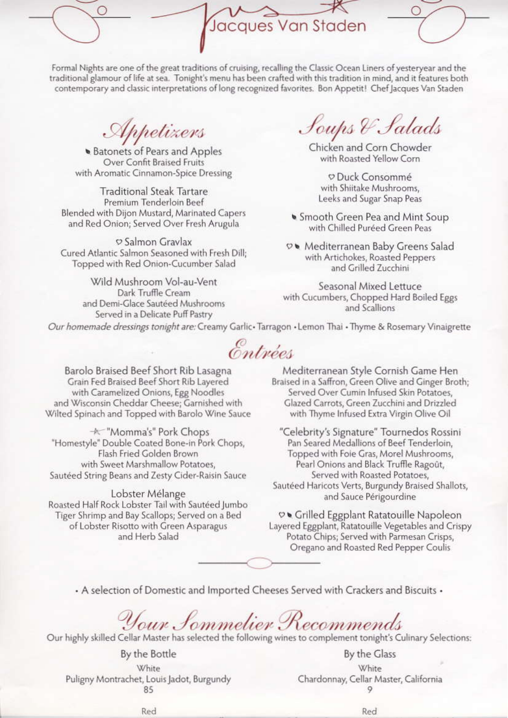Formal Nights are one of the great traditions of cruising, recalling the Classic Ocean Liners of yesteryear and the traditional glamour of life at sea. Tonight's menu has been crafted with this tradition in mind, and it features both contemporary and classic interpretations of long recognized favorites. Bon Appetit! Chef Jacques Van Staden

Jacques Van Staden

*Appetixers* 

O

**Batonets of Pears and Apples** Over Confit Braised Fruits with Aromatic Cinnamon-Spice Dressing

**Traditional Steak Tartare** Premium Tenderloin Beef Blended with Dijon Mustard, Marinated Capers and Red Onion; Served Over Fresh Arugula

**Salmon Gravlax** Cured Atlantic Salmon Seasoned with Fresh Dill; Topped with Red Onion-Cucumber Salad

Wild Mushroom Vol-au-Vent Dark Truffle Cream and Demi-Glace Sautéed Mushrooms Served in a Delicate Puff Pastry

Barolo Braised Beef Short Rib Lasagna

Grain Fed Braised Beef Short Rib Layered

with Caramelized Onions, Egg Noodles

and Wisconsin Cheddar Cheese; Garnished with

Wilted Spinach and Topped with Barolo Wine Sauce

-\* "Momma's" Pork Chops

"Homestyle" Double Coated Bone-in Pork Chops,

Flash Fried Golden Brown

with Sweet Marshmallow Potatoes,

Sautéed String Beans and Zesty Cider-Raisin Sauce

Lobster Mélange

Roasted Half Rock Lobster Tail with Sautéed Jumbo Tiger Shrimp and Bay Scallops; Served on a Bed

of Lobster Risotto with Green Asparagus

and Herb Salad

Soups & Salads

Chicken and Corn Chowder with Roasted Yellow Corn

**Duck Consommé** with Shiitake Mushrooms, Leeks and Sugar Snap Peas

**Smooth Green Pea and Mint Soup** with Chilled Puréed Green Peas

V Mediterranean Baby Greens Salad with Artichokes, Roasted Peppers and Grilled Zucchini

Seasonal Mixed Lettuce with Cucumbers, Chopped Hard Boiled Eggs and Scallions

Our homemade dressings tonight are: Creamy Garlic · Tarragon · Lemon Thai · Thyme & Rosemary Vinaigrette

Entrées

Mediterranean Style Cornish Game Hen Braised in a Saffron, Green Olive and Ginger Broth; Served Over Cumin Infused Skin Potatoes. Glazed Carrots, Green Zucchini and Drizzled with Thyme Infused Extra Virgin Olive Oil

"Celebrity's Signature" Tournedos Rossini Pan Seared Medallions of Beef Tenderloin, Topped with Foie Gras, Morel Mushrooms, Pearl Onions and Black Truffle Ragoût, Served with Roasted Potatoes, Sautéed Haricots Verts, Burgundy Braised Shallots, and Sauce Périgourdine

♡ Crilled Eggplant Ratatouille Napoleon Layered Eggplant, Ratatouille Vegetables and Crispy Potato Chips; Served with Parmesan Crisps, Oregano and Roasted Red Pepper Coulis

• A selection of Domestic and Imported Cheeses Served with Crackers and Biscuits •

Your Sommelier Recommends

Our highly skilled Cellar Master has selected the following wines to complement tonight's Culinary Selections:

By the Bottle White Puligny Montrachet, Louis Jadot, Burgundy 85

By the Glass White Chardonnay, Cellar Master, California  $\circ$ 

Red

Red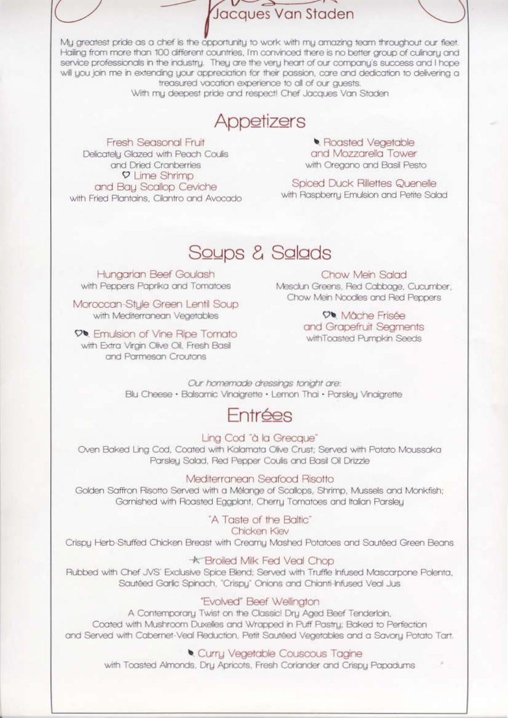Jacques Van Staden

My greatest pride as a chef is the opportunity to work with my amazing team throughout our fleet. Hailing from more than 100 different countries. I'm convinced there is no better group of culinary and service professionals in the industry. They are the very heart of our company's success and I hope will you join me in extending your appreciation for their passion, care and dedication to delivering a treasured vacation experience to all of our quests.

With my deepest pride and respect! Chef Jacques Van Staden

# Appetizers

Fresh Seasonal Fruit Delicately Glazed with Peach Coulis and Dried Cranberries **V** Lime Shrimp and Bay Scallop Ceviche with Fried Plantains, Cilantro and Avocado

· Roasted Vegetable and Mozzarella Tower with Oregano and Basil Pesto

Spiced Duck Rillettes Quenelle with Raspberry Emulsion and Petite Salad

## Soups & Salads

Hungarian Beef Goulash with Peppers Paprika and Tomatoes

Moroccan-Style Green Lentil Soup with Mediterranean Vegetables

**De** Emulsion of Vine Ripe Tomato with Extra Virgin Olive Oil, Fresh Basil and Parmesan Croutons

Chow Mein Salad Mesclun Greens, Red Cabbage, Cucumber, Chow Mein Noodles and Red Peopers

> **De** Mâche Frisée and Grapefruit Segments withToasted Pumpkin Seeds

Our homemade dressings tonight are: Blu Cheese · Balsamic Vinaigrette · Lemon Thai · Parsley Vinaigrette

## Entrées

Ling Cod "à la Grecque"

Oven Baked Ling Cod, Coated with Kalamata Olive Crust; Served with Potato Moussaka Parsley Salad, Red Pepper Coulis and Basil Oil Drizzle

#### Mediterranean Seafood Risotto

Golden Saffron Risotto Served with a Mélange of Scallops, Shrimp, Mussels and Monkfish; Garnished with Roasted Eggplant, Cherry Tomatoes and Italian Parsley

"A Taste of the Baltic"

Chicken Kiev

Crispy Herb-Stuffed Chicken Breast with Creamy Mashed Potatoes and Sautéed Green Beans

#### \* Broiled Milk Fed Veal Chop

Rubbed with Chef JVS' Exclusive Spice Blend; Served with Truffle Infused Mascarpone Polenta, Sautéed Garlic Spinach, "Crispy" Onions and Chianti-Infused Veal Jus

#### "Evolved" Beef Wellington

A Contemporary Twist on the Classic! Dry Aged Beef Tenderloin, Coated with Mushroom Duxelles and Wrapped in Puff Pastry; Baked to Perfection and Served with Cabernet-Veal Reduction, Petit Sautéed Vegetables and a Savory Potato Tart.

#### Curry Vegetable Couscous Tagine

with Toasted Almonds, Dry Apricots, Fresh Coriander and Crispy Papadums